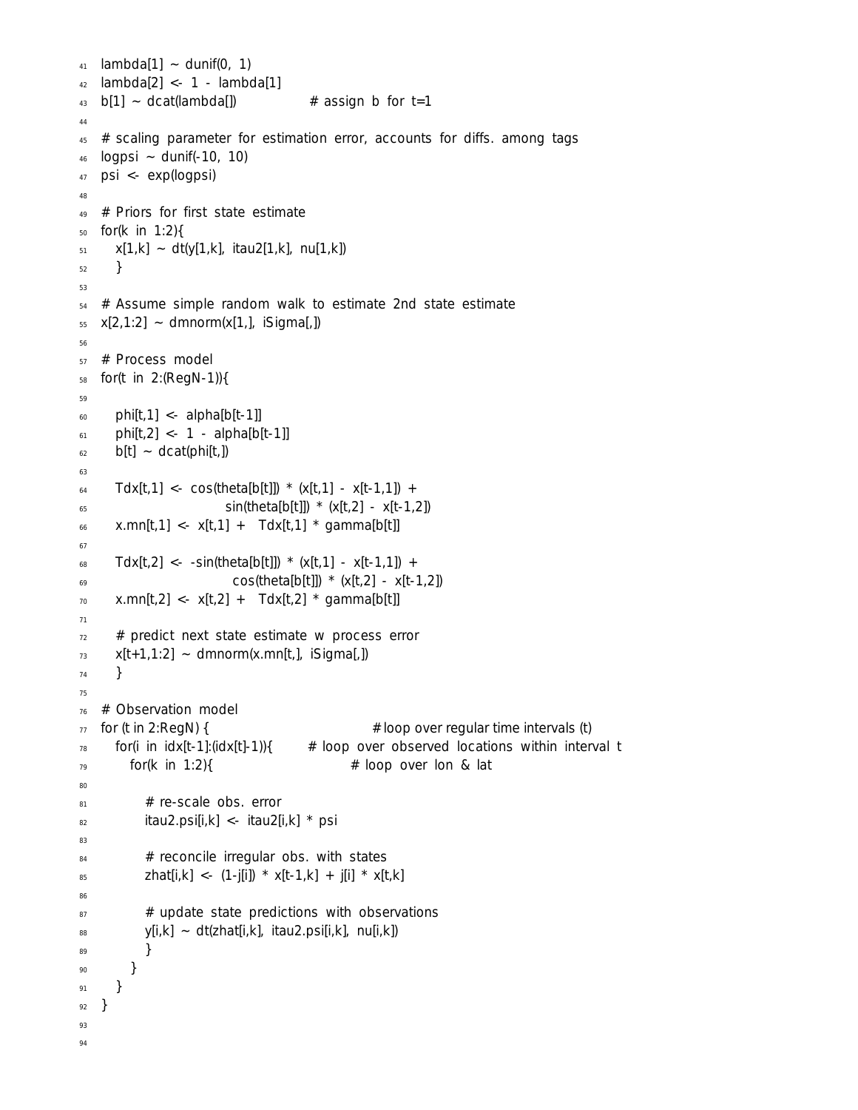```
41 lambda[1] ~ dunif(0, 1)
42 lambda[2] <- 1 - lambda[1]
43 b[1] ~ dcat(lambda[]) # assign b for t=1
44
45 # scaling parameter for estimation error, accounts for diffs. among tags
46 logpsi \sim dunif(-10, 10)
47 psi <- exp(logpsi)
48
49 # Priors for first state estimate
50 for(k in 1:2){
x[1,k] ~ dt(y[1,k], itau2[1,k], nu[1,k])
52 }
53
54 # Assume simple random walk to estimate 2nd state estimate
55 \times [2,1:2] ~ dmnorm(x[1,], iSigma[,])
56
57 # Process model
58 for(t in 2:(RegN-1)){
59
60 phi[t,1] <- alpha[b[t-1]]61 phi[t,2] <- 1 - alpha[b[t-1]]
_{62} b[t] ~ dcat(phi[t,])
63
64 Tdx[t,1] <- cos(theta[b[t]]) * (x[t,1] - x[t-1,1]) +
\sin(\theta[t]) \times (x[t,2] - x[t-1,2])66 x.mn[t,1] < -x[t,1] + Tdx[t,1] * gamma[b[t]]67
68 Tdx[t,2] <- -sin(theta[b[t]]) * (x[t,1] - x[t-1,1]) +
69 cos(theta[b[t]]) *(x[t,2] - x[t-1,2])70 x.mn[t,2] <- x[t,2] + Tdx[t,2] * gamma[b[t]]
71
72 # predict next state estimate w process error
x[t+1,1:2] ~ dmnorm(x.mn[t,], iSigma[,])
74 }
75
76 # Observation model
\frac{1}{77} for (t in 2:RegN) { \frac{1}{77} for (t in 2:RegN) {
78 for(i in idx[t-1]:(idx[t]-1)){ # loop over observed locations within interval t
79 for(k in 1:2){ \qquad # loop over lon & lat
80
81 # re-scale obs. error
82 itau2.psi[i,k] <- itau2[i,k] * psi
83
_{84} \# reconcile irregular obs. with states
85 zhat[i,k] < - (1-j[i]) * x[t-1,k] + j[i] * x[t,k]86
87 # update state predictions with observations
_{88} y[i,k] ~ dt(zhat[i,k], itau2.psi[i,k], nu[i,k])
89 }
90 }
91 }
92 }
93
94
```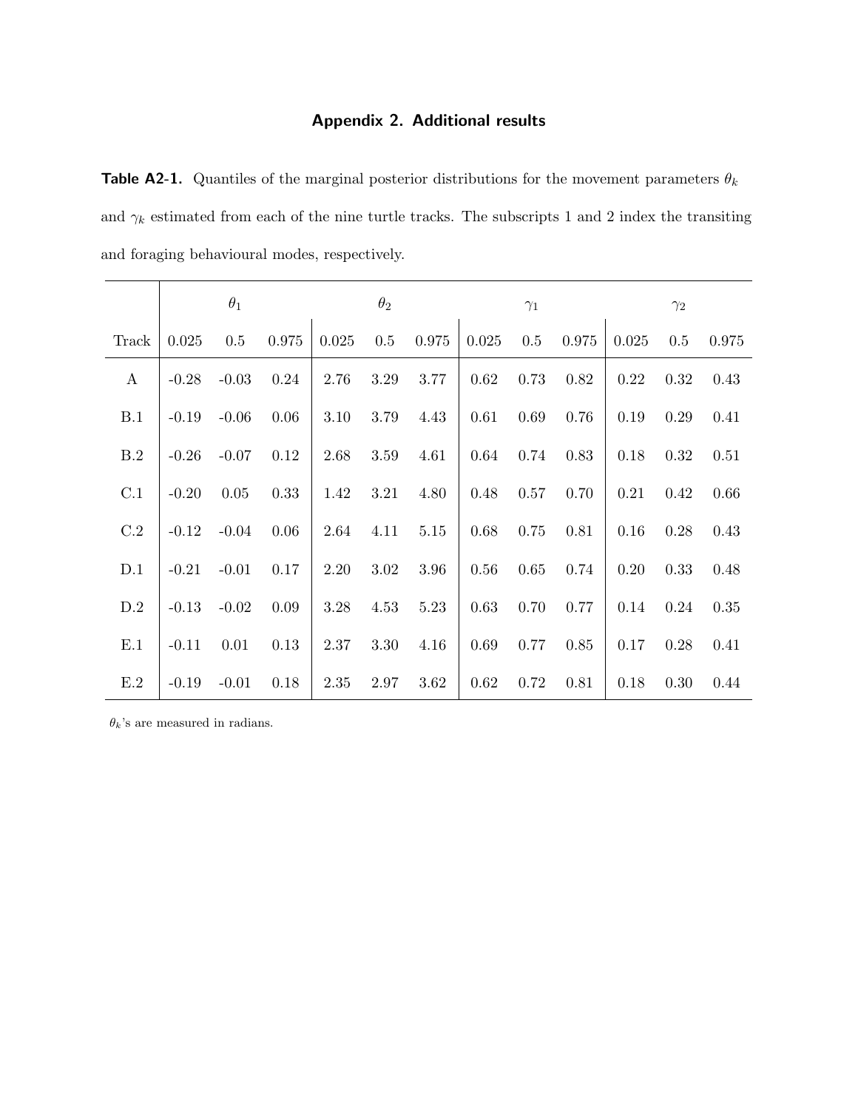## Appendix 2. Additional results

**Table A2-1.** Quantiles of the marginal posterior distributions for the movement parameters  $\theta_k$ and  $\gamma_k$  estimated from each of the nine turtle tracks. The subscripts 1 and 2 index the transiting and foraging behavioural modes, respectively.

|                  |         | $\theta_1$ |       |       | $\theta_2$ |       |       | $\gamma_1$ |       |       | $\gamma_2$ |       |
|------------------|---------|------------|-------|-------|------------|-------|-------|------------|-------|-------|------------|-------|
| Track            | 0.025   | 0.5        | 0.975 | 0.025 | 0.5        | 0.975 | 0.025 | 0.5        | 0.975 | 0.025 | 0.5        | 0.975 |
| $\boldsymbol{A}$ | $-0.28$ | $-0.03$    | 0.24  | 2.76  | 3.29       | 3.77  | 0.62  | 0.73       | 0.82  | 0.22  | 0.32       | 0.43  |
| B.1              | $-0.19$ | $-0.06$    | 0.06  | 3.10  | 3.79       | 4.43  | 0.61  | 0.69       | 0.76  | 0.19  | 0.29       | 0.41  |
| B.2              | $-0.26$ | $-0.07$    | 0.12  | 2.68  | 3.59       | 4.61  | 0.64  | 0.74       | 0.83  | 0.18  | 0.32       | 0.51  |
| C.1              | $-0.20$ | 0.05       | 0.33  | 1.42  | 3.21       | 4.80  | 0.48  | 0.57       | 0.70  | 0.21  | 0.42       | 0.66  |
| C.2              | $-0.12$ | $-0.04$    | 0.06  | 2.64  | 4.11       | 5.15  | 0.68  | 0.75       | 0.81  | 0.16  | 0.28       | 0.43  |
| D.1              | $-0.21$ | $-0.01$    | 0.17  | 2.20  | 3.02       | 3.96  | 0.56  | 0.65       | 0.74  | 0.20  | 0.33       | 0.48  |
| D.2              | $-0.13$ | $-0.02$    | 0.09  | 3.28  | 4.53       | 5.23  | 0.63  | 0.70       | 0.77  | 0.14  | 0.24       | 0.35  |
| E.1              | $-0.11$ | 0.01       | 0.13  | 2.37  | 3.30       | 4.16  | 0.69  | 0.77       | 0.85  | 0.17  | 0.28       | 0.41  |
| E.2              | $-0.19$ | $-0.01$    | 0.18  | 2.35  | 2.97       | 3.62  | 0.62  | 0.72       | 0.81  | 0.18  | 0.30       | 0.44  |

 $\theta_k$  's are measured in radians.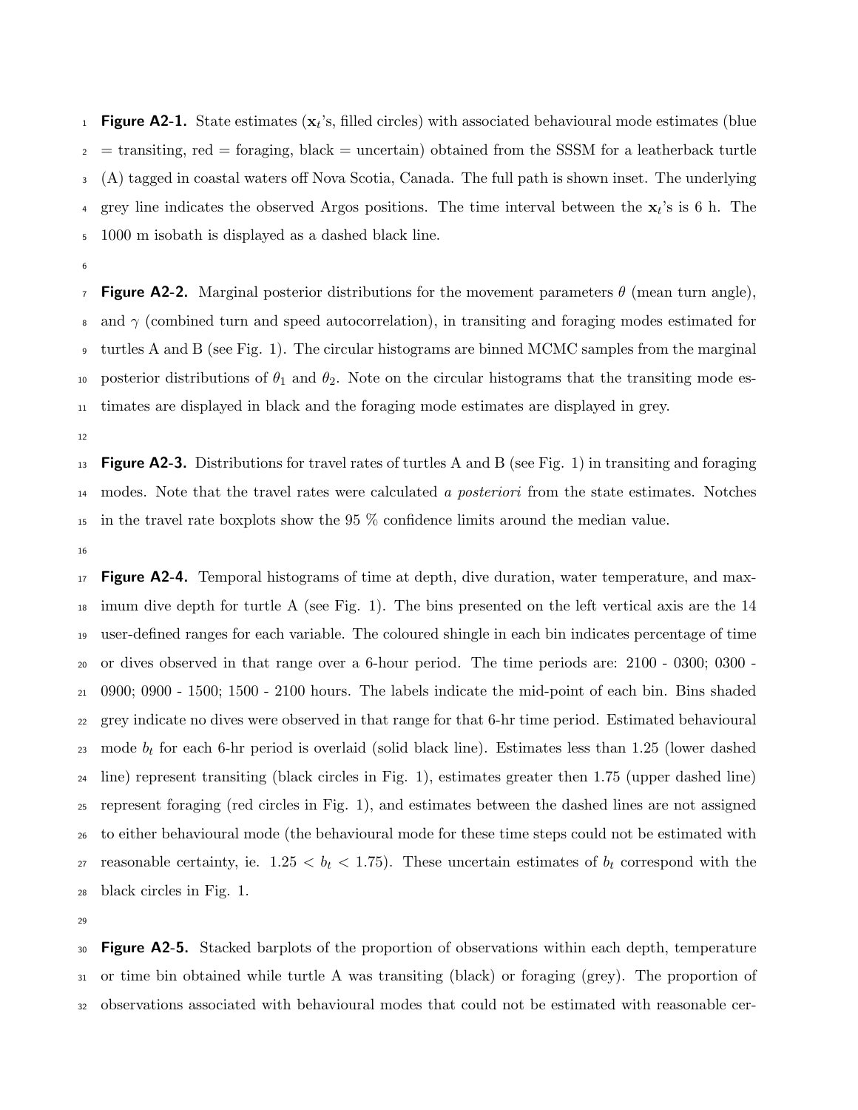**Figure A2-1.** State estimates  $(x_t)$ 's, filled circles) with associated behavioural mode estimates (blue  $\epsilon_2$  = transiting, red = foraging, black = uncertain) obtained from the SSSM for a leatherback turtle (A) tagged in coastal waters off Nova Scotia, Canada. The full path is shown inset. The underlying <sup>4</sup> grey line indicates the observed Argos positions. The time interval between the  $x_t$ 's is 6 h. The 1000 m isobath is displayed as a dashed black line.

**Figure A2-2.** Marginal posterior distributions for the movement parameters  $\theta$  (mean turn angle), 8 and  $\gamma$  (combined turn and speed autocorrelation), in transiting and foraging modes estimated for turtles A and B (see Fig. 1). The circular histograms are binned MCMC samples from the marginal 10 posterior distributions of  $\theta_1$  and  $\theta_2$ . Note on the circular histograms that the transiting mode es-timates are displayed in black and the foraging mode estimates are displayed in grey.

**Figure A2-3.** Distributions for travel rates of turtles A and B (see Fig. 1) in transiting and foraging <sup>14</sup> modes. Note that the travel rates were calculated a posteriori from the state estimates. Notches in the travel rate boxplots show the 95 % confidence limits around the median value.

<sup>17</sup> **Figure A2-4.** Temporal histograms of time at depth, dive duration, water temperature, and max- imum dive depth for turtle A (see Fig. 1). The bins presented on the left vertical axis are the 14 user-defined ranges for each variable. The coloured shingle in each bin indicates percentage of time or dives observed in that range over a 6-hour period. The time periods are: 2100 - 0300; 0300 - 0900; 0900 - 1500; 1500 - 2100 hours. The labels indicate the mid-point of each bin. Bins shaded grey indicate no dives were observed in that range for that 6-hr time period. Estimated behavioural 23 mode  $b_t$  for each 6-hr period is overlaid (solid black line). Estimates less than 1.25 (lower dashed line) represent transiting (black circles in Fig. 1), estimates greater then 1.75 (upper dashed line) represent foraging (red circles in Fig. 1), and estimates between the dashed lines are not assigned to either behavioural mode (the behavioural mode for these time steps could not be estimated with 27 reasonable certainty, ie.  $1.25 < b_t < 1.75$ ). These uncertain estimates of  $b_t$  correspond with the black circles in Fig. 1.

<sup>30</sup> Figure A2-5. Stacked barplots of the proportion of observations within each depth, temperature or time bin obtained while turtle A was transiting (black) or foraging (grey). The proportion of observations associated with behavioural modes that could not be estimated with reasonable cer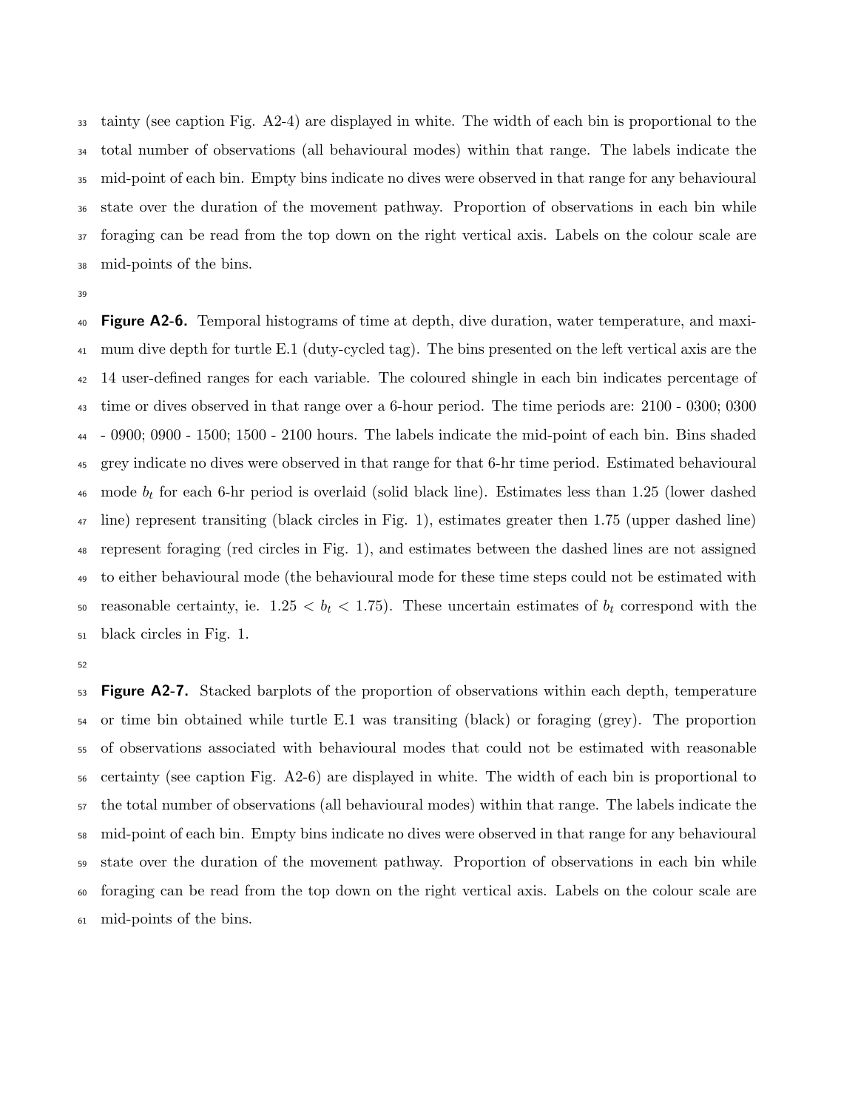tainty (see caption Fig. A2-4) are displayed in white. The width of each bin is proportional to the total number of observations (all behavioural modes) within that range. The labels indicate the mid-point of each bin. Empty bins indicate no dives were observed in that range for any behavioural state over the duration of the movement pathway. Proportion of observations in each bin while foraging can be read from the top down on the right vertical axis. Labels on the colour scale are mid-points of the bins.

<sup>40</sup> **Figure A2-6.** Temporal histograms of time at depth, dive duration, water temperature, and maxi- mum dive depth for turtle E.1 (duty-cycled tag). The bins presented on the left vertical axis are the 14 user-defined ranges for each variable. The coloured shingle in each bin indicates percentage of time or dives observed in that range over a 6-hour period. The time periods are: 2100 - 0300; 0300 - 0900; 0900 - 1500; 1500 - 2100 hours. The labels indicate the mid-point of each bin. Bins shaded grey indicate no dives were observed in that range for that 6-hr time period. Estimated behavioural 46 mode  $b_t$  for each 6-hr period is overlaid (solid black line). Estimates less than 1.25 (lower dashed line) represent transiting (black circles in Fig. 1), estimates greater then 1.75 (upper dashed line) represent foraging (red circles in Fig. 1), and estimates between the dashed lines are not assigned to either behavioural mode (the behavioural mode for these time steps could not be estimated with 50 reasonable certainty, ie.  $1.25 < b_t < 1.75$ ). These uncertain estimates of  $b_t$  correspond with the black circles in Fig. 1.

<sup>53</sup> Figure A2-7. Stacked barplots of the proportion of observations within each depth, temperature or time bin obtained while turtle E.1 was transiting (black) or foraging (grey). The proportion of observations associated with behavioural modes that could not be estimated with reasonable certainty (see caption Fig. A2-6) are displayed in white. The width of each bin is proportional to the total number of observations (all behavioural modes) within that range. The labels indicate the mid-point of each bin. Empty bins indicate no dives were observed in that range for any behavioural state over the duration of the movement pathway. Proportion of observations in each bin while foraging can be read from the top down on the right vertical axis. Labels on the colour scale are mid-points of the bins.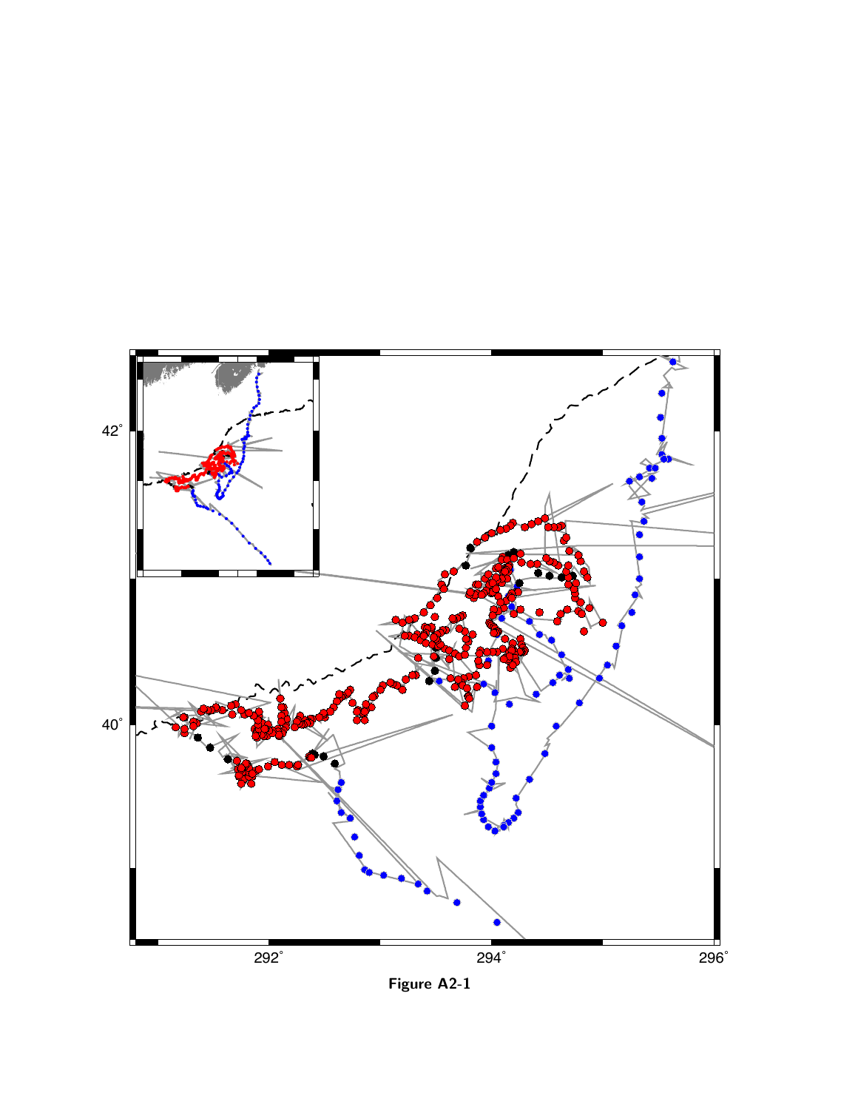

Figure A2-1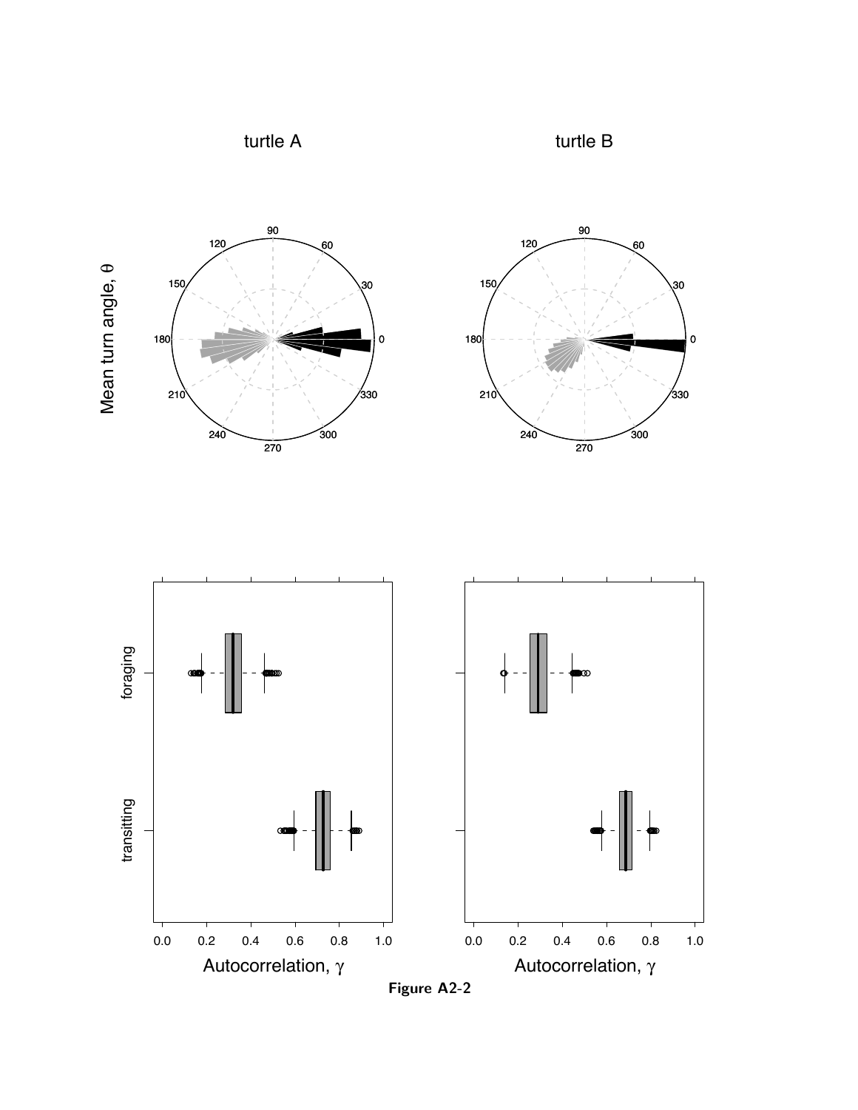





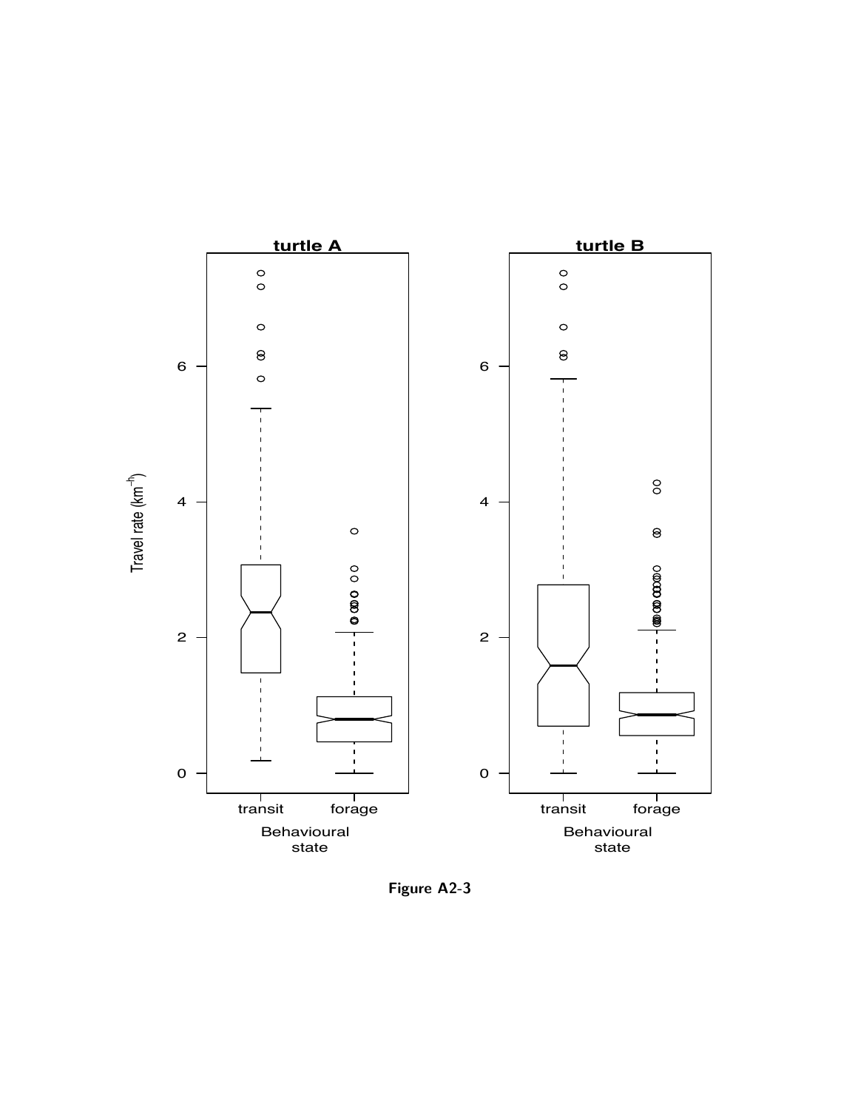

Figure A2-3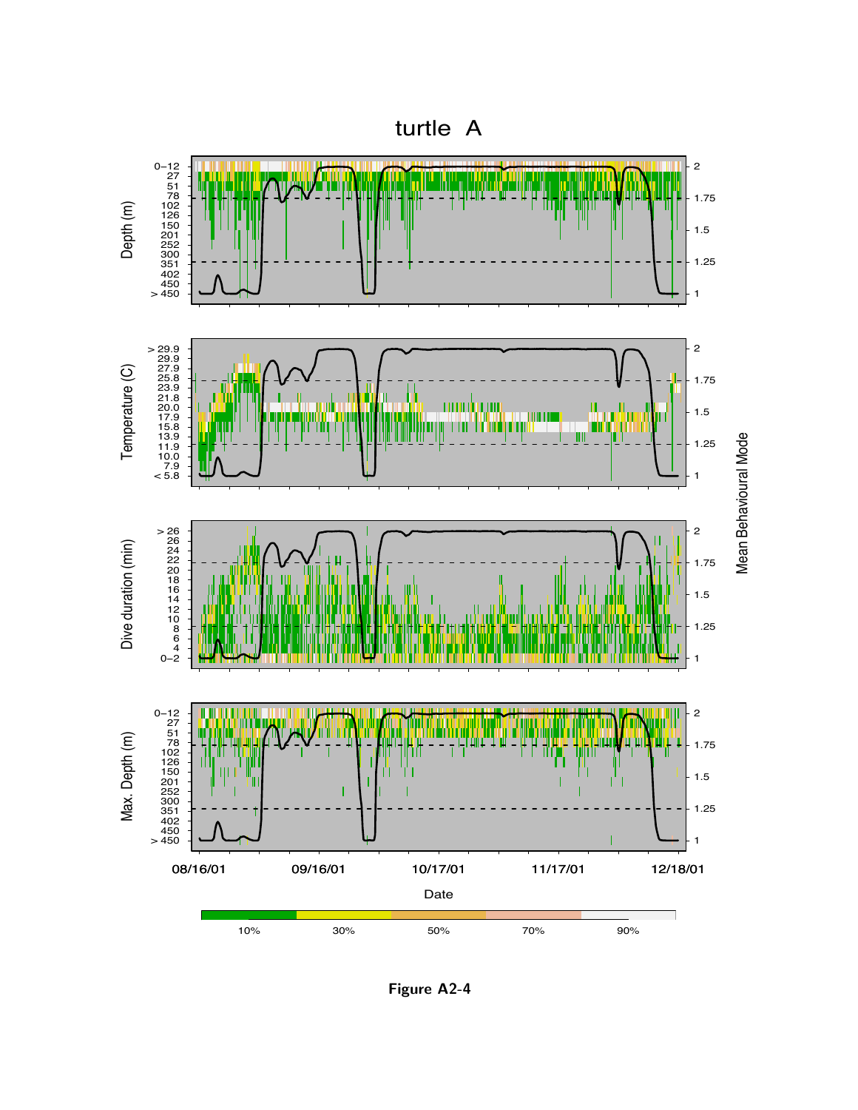



Mean Behavioural Mode

Figure A2-4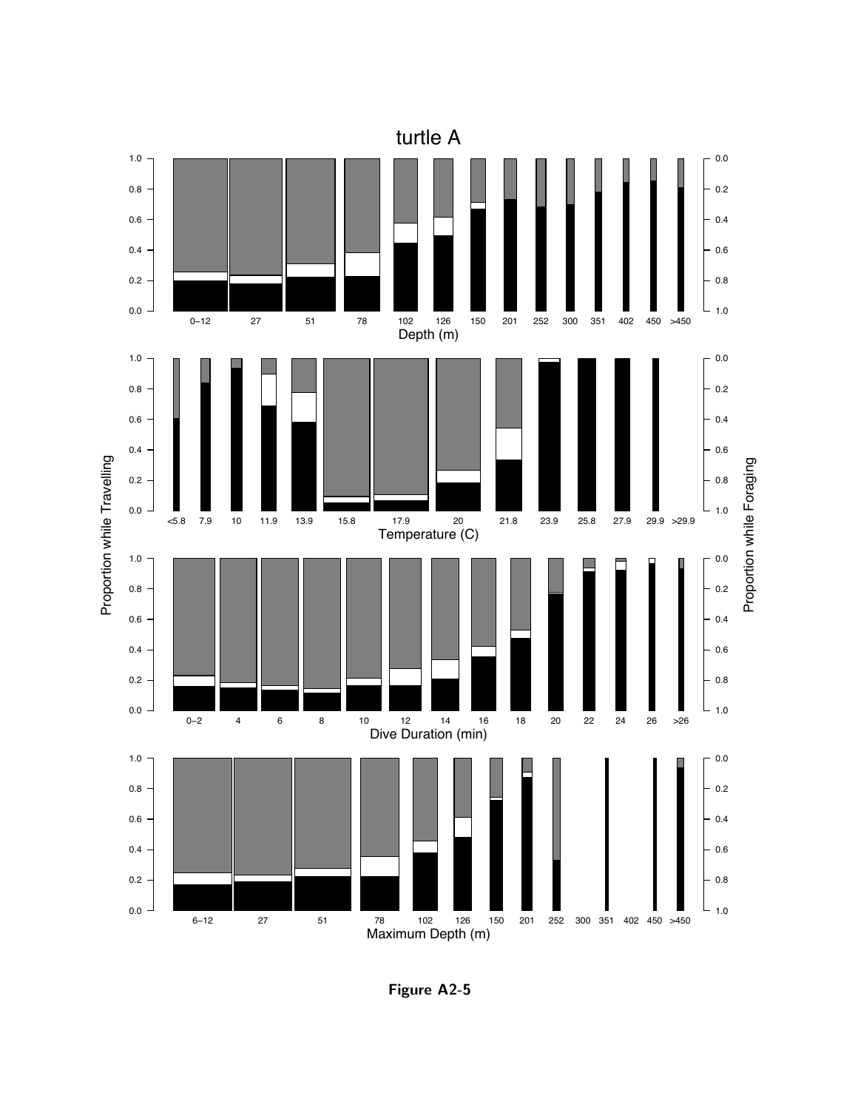

Figure A2-5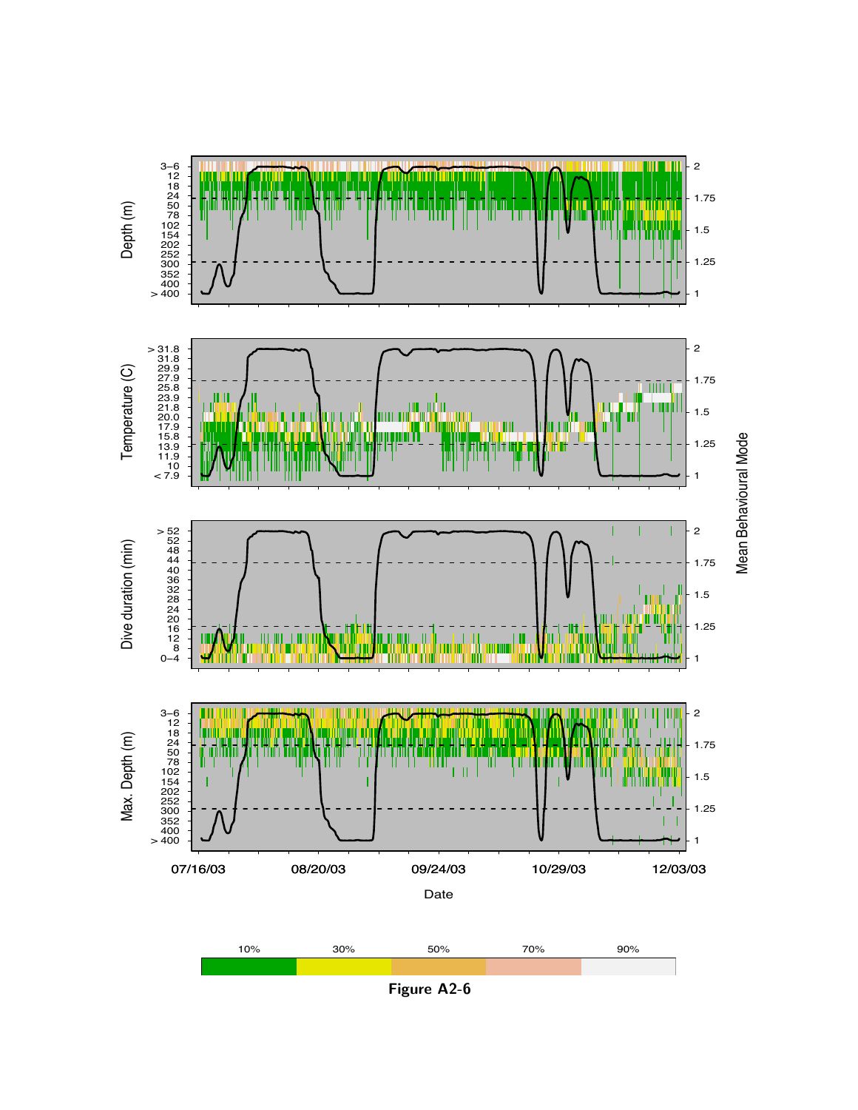

Figure A2-6